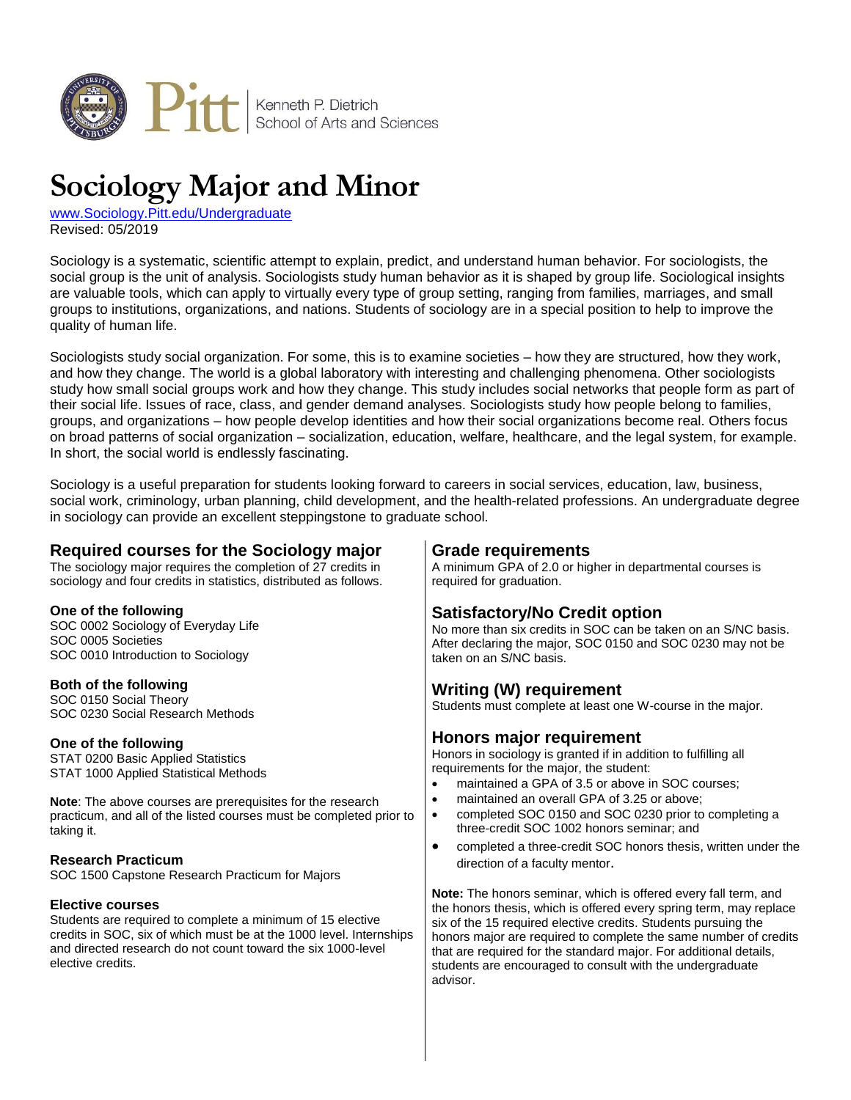

# **Sociology Major and Minor**

[www.Sociology.Pitt.edu/Undergraduate](http://www.sociology.pitt.edu/undergraduate) Revised: 05/2019

Sociology is a systematic, scientific attempt to explain, predict, and understand human behavior. For sociologists, the social group is the unit of analysis. Sociologists study human behavior as it is shaped by group life. Sociological insights are valuable tools, which can apply to virtually every type of group setting, ranging from families, marriages, and small groups to institutions, organizations, and nations. Students of sociology are in a special position to help to improve the quality of human life.

Sociologists study social organization. For some, this is to examine societies – how they are structured, how they work, and how they change. The world is a global laboratory with interesting and challenging phenomena. Other sociologists study how small social groups work and how they change. This study includes social networks that people form as part of their social life. Issues of race, class, and gender demand analyses. Sociologists study how people belong to families, groups, and organizations – how people develop identities and how their social organizations become real. Others focus on broad patterns of social organization – socialization, education, welfare, healthcare, and the legal system, for example. In short, the social world is endlessly fascinating.

Sociology is a useful preparation for students looking forward to careers in social services, education, law, business, social work, criminology, urban planning, child development, and the health-related professions. An undergraduate degree in sociology can provide an excellent steppingstone to graduate school.

## **Required courses for the Sociology major**

The sociology major requires the completion of 27 credits in sociology and four credits in statistics, distributed as follows.

## **One of the following**

SOC 0002 Sociology of Everyday Life SOC 0005 Societies SOC 0010 Introduction to Sociology

### **Both of the following**

SOC 0150 Social Theory SOC 0230 Social Research Methods

### **One of the following**

STAT 0200 Basic Applied Statistics STAT 1000 Applied Statistical Methods

**Note**: The above courses are prerequisites for the research practicum, and all of the listed courses must be completed prior to taking it.

### **Research Practicum**

SOC 1500 Capstone Research Practicum for Majors

### **Elective courses**

Students are required to complete a minimum of 15 elective credits in SOC, six of which must be at the 1000 level. Internships and directed research do not count toward the six 1000-level elective credits.

## **Grade requirements**

A minimum GPA of 2.0 or higher in departmental courses is required for graduation.

# **Satisfactory/No Credit option**

No more than six credits in SOC can be taken on an S/NC basis. After declaring the major, SOC 0150 and SOC 0230 may not be taken on an S/NC basis.

## **Writing (W) requirement**

Students must complete at least one W-course in the major.

## **Honors major requirement**

Honors in sociology is granted if in addition to fulfilling all requirements for the major, the student:

- maintained a GPA of 3.5 or above in SOC courses;
- maintained an overall GPA of 3.25 or above;
- completed SOC 0150 and SOC 0230 prior to completing a three-credit SOC 1002 honors seminar; and
- completed a three-credit SOC honors thesis, written under the direction of a faculty mentor.

**Note:** The honors seminar, which is offered every fall term, and the honors thesis, which is offered every spring term, may replace six of the 15 required elective credits. Students pursuing the honors major are required to complete the same number of credits that are required for the standard major. For additional details, students are encouraged to consult with the undergraduate advisor.